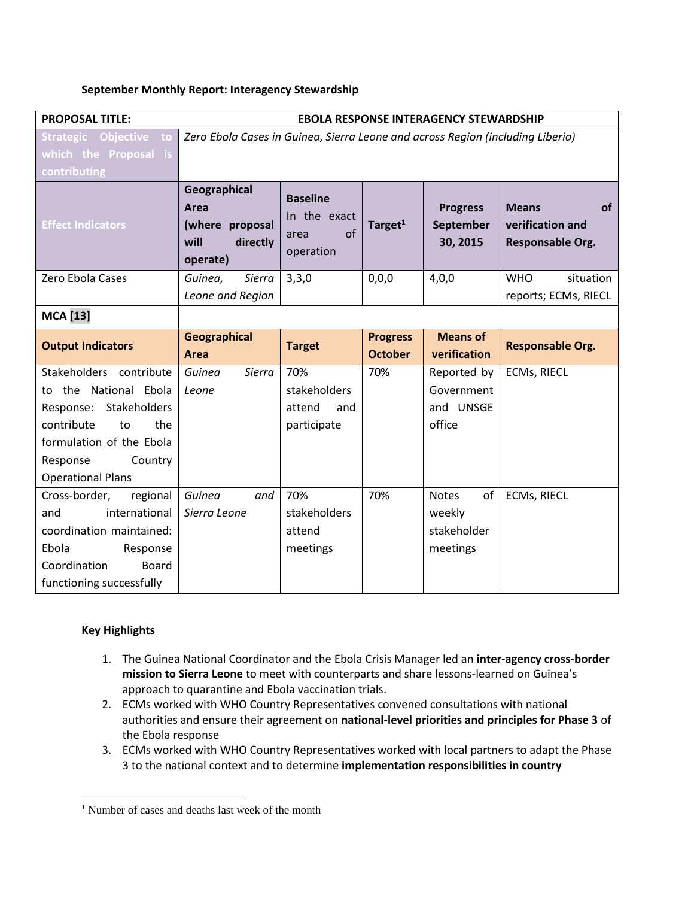### **September Monthly Report: Interagency Stewardship**

| <b>PROPOSAL TITLE:</b>                                   | <b>EBOLA RESPONSE INTERAGENCY STEWARDSHIP</b>                                  |                                                            |                                   |                                          |                                                                   |
|----------------------------------------------------------|--------------------------------------------------------------------------------|------------------------------------------------------------|-----------------------------------|------------------------------------------|-------------------------------------------------------------------|
| Strategic Objective to                                   | Zero Ebola Cases in Guinea, Sierra Leone and across Region (including Liberia) |                                                            |                                   |                                          |                                                                   |
| which the Proposal is                                    |                                                                                |                                                            |                                   |                                          |                                                                   |
| contributing                                             |                                                                                |                                                            |                                   |                                          |                                                                   |
| <b>Effect Indicators</b>                                 | Geographical<br>Area<br>(where proposal<br>will<br>directly<br>operate)        | <b>Baseline</b><br>In the exact<br>of<br>area<br>operation | Target $1$                        | <b>Progress</b><br>September<br>30, 2015 | <b>Means</b><br><b>of</b><br>verification and<br>Responsable Org. |
| Zero Ebola Cases                                         | Guinea.<br>Sierra                                                              | 3,3,0                                                      | 0,0,0                             | 4,0,0                                    | situation<br><b>WHO</b>                                           |
|                                                          | Leone and Region                                                               |                                                            |                                   |                                          | reports; ECMs, RIECL                                              |
| <b>MCA</b> [13]                                          |                                                                                |                                                            |                                   |                                          |                                                                   |
| <b>Output Indicators</b>                                 | <b>Geographical</b><br>Area                                                    | <b>Target</b>                                              | <b>Progress</b><br><b>October</b> | <b>Means of</b><br>verification          | <b>Responsable Org.</b>                                           |
| Stakeholders contribute                                  | Guinea<br>Sierra                                                               | 70%                                                        | 70%                               | Reported by                              | <b>ECMs, RIECL</b>                                                |
| to the National Ebola                                    | Leone                                                                          | stakeholders                                               |                                   | Government                               |                                                                   |
| Response: Stakeholders                                   |                                                                                | attend<br>and                                              |                                   | and UNSGE                                |                                                                   |
| contribute<br>the<br>to                                  |                                                                                | participate                                                |                                   | office                                   |                                                                   |
| formulation of the Ebola                                 |                                                                                |                                                            |                                   |                                          |                                                                   |
| Response<br>Country                                      |                                                                                |                                                            |                                   |                                          |                                                                   |
| <b>Operational Plans</b>                                 |                                                                                |                                                            |                                   |                                          |                                                                   |
| Cross-border,<br>regional                                | Guinea<br>and                                                                  | 70%                                                        | 70%                               | of<br><b>Notes</b>                       | <b>ECMs, RIECL</b>                                                |
| international<br>and                                     | Sierra Leone                                                                   | stakeholders                                               |                                   | weekly                                   |                                                                   |
| coordination maintained:                                 |                                                                                | attend                                                     |                                   | stakeholder                              |                                                                   |
| Ebola<br>Response                                        |                                                                                | meetings                                                   |                                   | meetings                                 |                                                                   |
| Coordination<br><b>Board</b><br>functioning successfully |                                                                                |                                                            |                                   |                                          |                                                                   |
|                                                          |                                                                                |                                                            |                                   |                                          |                                                                   |

# **Key Highlights**

 $\overline{\phantom{a}}$ 

- 1. The Guinea National Coordinator and the Ebola Crisis Manager led an **inter-agency cross-border mission to Sierra Leone** to meet with counterparts and share lessons-learned on Guinea's approach to quarantine and Ebola vaccination trials.
- 2. ECMs worked with WHO Country Representatives convened consultations with national authorities and ensure their agreement on **national-level priorities and principles for Phase 3** of the Ebola response
- 3. ECMs worked with WHO Country Representatives worked with local partners to adapt the Phase 3 to the national context and to determine **implementation responsibilities in country**

<sup>&</sup>lt;sup>1</sup> Number of cases and deaths last week of the month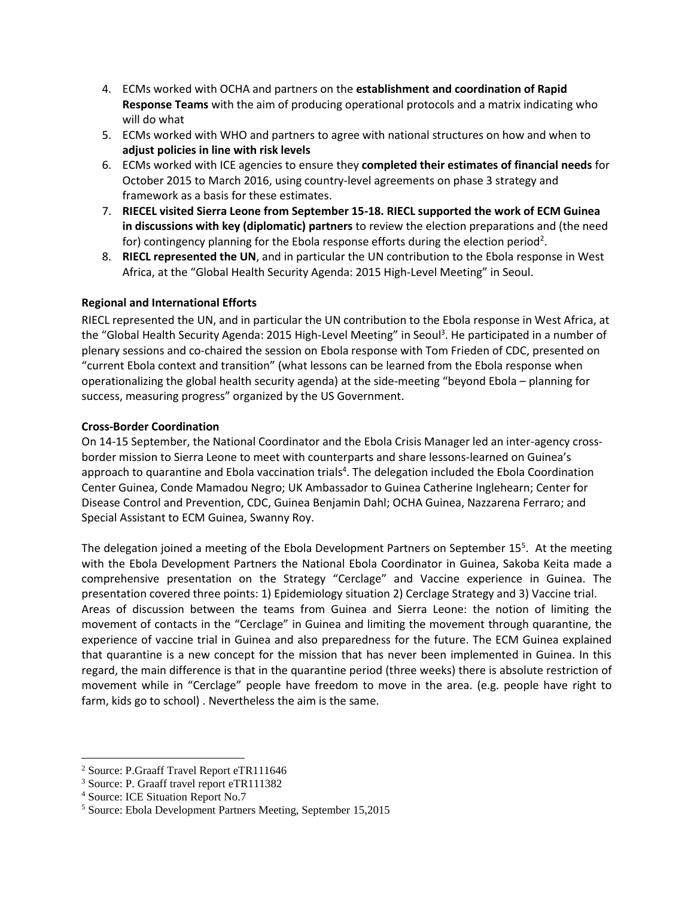- 4. ECMs worked with OCHA and partners on the **establishment and coordination of Rapid Response Teams** with the aim of producing operational protocols and a matrix indicating who will do what
- 5. ECMs worked with WHO and partners to agree with national structures on how and when to **adjust policies in line with risk levels**
- 6. ECMs worked with ICE agencies to ensure they **completed their estimates of financial needs** for October 2015 to March 2016, using country-level agreements on phase 3 strategy and framework as a basis for these estimates.
- 7. **RIECEL visited Sierra Leone from September 15-18. RIECL supported the work of ECM Guinea in discussions with key (diplomatic) partners** to review the election preparations and (the need for) contingency planning for the Ebola response efforts during the election period<sup>2</sup>.
- 8. **RIECL represented the UN**, and in particular the UN contribution to the Ebola response in West Africa, at the "Global Health Security Agenda: 2015 High-Level Meeting" in Seoul.

## **Regional and International Efforts**

RIECL represented the UN, and in particular the UN contribution to the Ebola response in West Africa, at the "Global Health Security Agenda: 2015 High-Level Meeting" in Seoul<sup>3</sup>. He participated in a number of plenary sessions and co-chaired the session on Ebola response with Tom Frieden of CDC, presented on "current Ebola context and transition" (what lessons can be learned from the Ebola response when operationalizing the global health security agenda) at the side-meeting "beyond Ebola – planning for success, measuring progress" organized by the US Government.

### **Cross-Border Coordination**

On 14-15 September, the National Coordinator and the Ebola Crisis Manager led an inter-agency crossborder mission to Sierra Leone to meet with counterparts and share lessons-learned on Guinea's approach to quarantine and Ebola vaccination trials<sup>4</sup>. The delegation included the Ebola Coordination Center Guinea, Conde Mamadou Negro; UK Ambassador to Guinea Catherine Inglehearn; Center for Disease Control and Prevention, CDC, Guinea Benjamin Dahl; OCHA Guinea, Nazzarena Ferraro; and Special Assistant to ECM Guinea, Swanny Roy.

The delegation joined a meeting of the Ebola Development Partners on September 15<sup>5</sup>. At the meeting with the Ebola Development Partners the National Ebola Coordinator in Guinea, Sakoba Keita made a comprehensive presentation on the Strategy "Cerclage" and Vaccine experience in Guinea. The presentation covered three points: 1) Epidemiology situation 2) Cerclage Strategy and 3) Vaccine trial. Areas of discussion between the teams from Guinea and Sierra Leone: the notion of limiting the movement of contacts in the "Cerclage" in Guinea and limiting the movement through quarantine, the experience of vaccine trial in Guinea and also preparedness for the future. The ECM Guinea explained that quarantine is a new concept for the mission that has never been implemented in Guinea. In this regard, the main difference is that in the quarantine period (three weeks) there is absolute restriction of movement while in "Cerclage" people have freedom to move in the area. (e.g. people have right to farm, kids go to school) . Nevertheless the aim is the same.

 $\overline{\phantom{a}}$ 

<sup>2</sup> Source: P.Graaff Travel Report eTR111646

<sup>3</sup> Source: P. Graaff travel report eTR111382

<sup>4</sup> Source: ICE Situation Report No.7

<sup>5</sup> Source: Ebola Development Partners Meeting, September 15,2015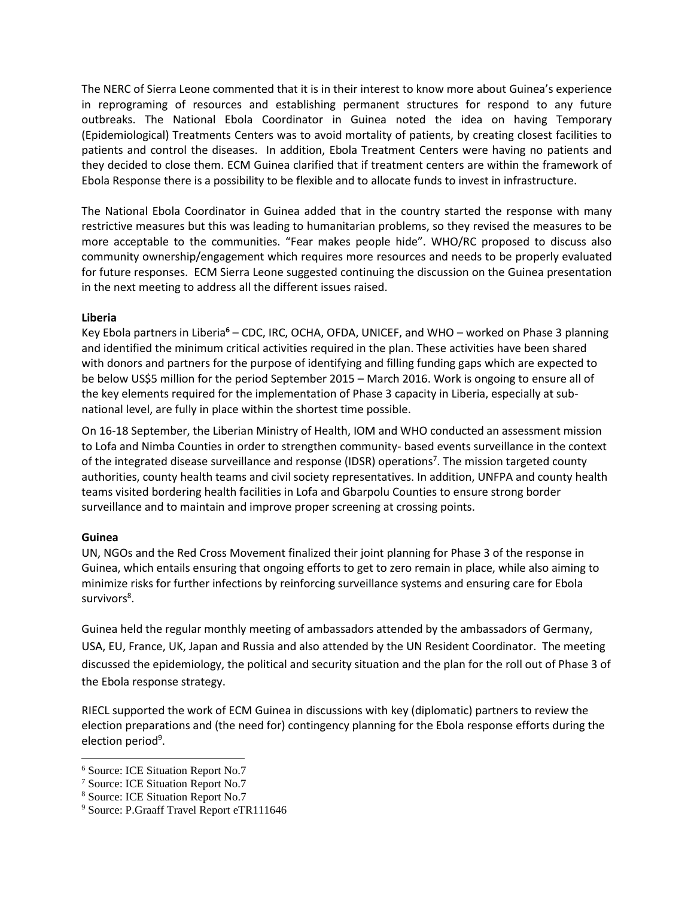The NERC of Sierra Leone commented that it is in their interest to know more about Guinea's experience in reprograming of resources and establishing permanent structures for respond to any future outbreaks. The National Ebola Coordinator in Guinea noted the idea on having Temporary (Epidemiological) Treatments Centers was to avoid mortality of patients, by creating closest facilities to patients and control the diseases. In addition, Ebola Treatment Centers were having no patients and they decided to close them. ECM Guinea clarified that if treatment centers are within the framework of Ebola Response there is a possibility to be flexible and to allocate funds to invest in infrastructure.

The National Ebola Coordinator in Guinea added that in the country started the response with many restrictive measures but this was leading to humanitarian problems, so they revised the measures to be more acceptable to the communities. "Fear makes people hide". WHO/RC proposed to discuss also community ownership/engagement which requires more resources and needs to be properly evaluated for future responses. ECM Sierra Leone suggested continuing the discussion on the Guinea presentation in the next meeting to address all the different issues raised.

## **Liberia**

Key Ebola partners in Liberia**<sup>6</sup>** – CDC, IRC, OCHA, OFDA, UNICEF, and WHO – worked on Phase 3 planning and identified the minimum critical activities required in the plan. These activities have been shared with donors and partners for the purpose of identifying and filling funding gaps which are expected to be below US\$5 million for the period September 2015 – March 2016. Work is ongoing to ensure all of the key elements required for the implementation of Phase 3 capacity in Liberia, especially at subnational level, are fully in place within the shortest time possible.

On 16-18 September, the Liberian Ministry of Health, IOM and WHO conducted an assessment mission to Lofa and Nimba Counties in order to strengthen community- based events surveillance in the context of the integrated disease surveillance and response (IDSR) operations<sup>7</sup>. The mission targeted county authorities, county health teams and civil society representatives. In addition, UNFPA and county health teams visited bordering health facilities in Lofa and Gbarpolu Counties to ensure strong border surveillance and to maintain and improve proper screening at crossing points.

# **Guinea**

 $\overline{\phantom{a}}$ 

UN, NGOs and the Red Cross Movement finalized their joint planning for Phase 3 of the response in Guinea, which entails ensuring that ongoing efforts to get to zero remain in place, while also aiming to minimize risks for further infections by reinforcing surveillance systems and ensuring care for Ebola survivors<sup>8</sup>.

Guinea held the regular monthly meeting of ambassadors attended by the ambassadors of Germany, USA, EU, France, UK, Japan and Russia and also attended by the UN Resident Coordinator. The meeting discussed the epidemiology, the political and security situation and the plan for the roll out of Phase 3 of the Ebola response strategy.

RIECL supported the work of ECM Guinea in discussions with key (diplomatic) partners to review the election preparations and (the need for) contingency planning for the Ebola response efforts during the election period<sup>9</sup>.

<sup>6</sup> Source: ICE Situation Report No.7

<sup>7</sup> Source: ICE Situation Report No.7

<sup>8</sup> Source: ICE Situation Report No.7

<sup>&</sup>lt;sup>9</sup> Source: P.Graaff Travel Report eTR111646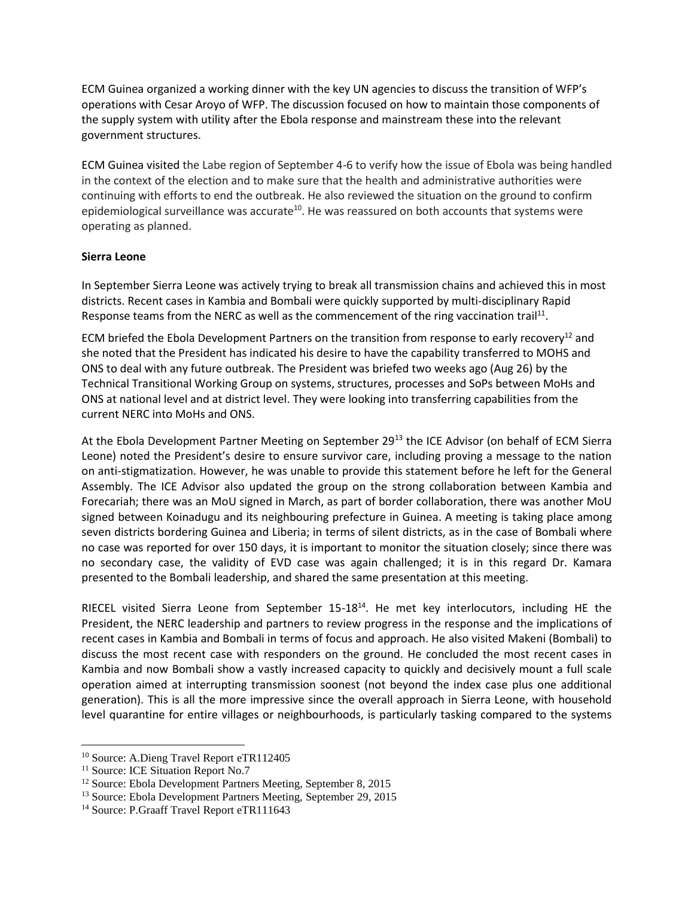ECM Guinea organized a working dinner with the key UN agencies to discuss the transition of WFP's operations with Cesar Aroyo of WFP. The discussion focused on how to maintain those components of the supply system with utility after the Ebola response and mainstream these into the relevant government structures.

ECM Guinea visited the Labe region of September 4-6 to verify how the issue of Ebola was being handled in the context of the election and to make sure that the health and administrative authorities were continuing with efforts to end the outbreak. He also reviewed the situation on the ground to confirm epidemiological surveillance was accurate<sup>10</sup>. He was reassured on both accounts that systems were operating as planned.

### **Sierra Leone**

In September Sierra Leone was actively trying to break all transmission chains and achieved this in most districts. Recent cases in Kambia and Bombali were quickly supported by multi-disciplinary Rapid Response teams from the NERC as well as the commencement of the ring vaccination trail<sup>11</sup>.

ECM briefed the Ebola Development Partners on the transition from response to early recovery<sup>12</sup> and she noted that the President has indicated his desire to have the capability transferred to MOHS and ONS to deal with any future outbreak. The President was briefed two weeks ago (Aug 26) by the Technical Transitional Working Group on systems, structures, processes and SoPs between MoHs and ONS at national level and at district level. They were looking into transferring capabilities from the current NERC into MoHs and ONS.

At the Ebola Development Partner Meeting on September 29<sup>13</sup> the ICE Advisor (on behalf of ECM Sierra Leone) noted the President's desire to ensure survivor care, including proving a message to the nation on anti-stigmatization. However, he was unable to provide this statement before he left for the General Assembly. The ICE Advisor also updated the group on the strong collaboration between Kambia and Forecariah; there was an MoU signed in March, as part of border collaboration, there was another MoU signed between Koinadugu and its neighbouring prefecture in Guinea. A meeting is taking place among seven districts bordering Guinea and Liberia; in terms of silent districts, as in the case of Bombali where no case was reported for over 150 days, it is important to monitor the situation closely; since there was no secondary case, the validity of EVD case was again challenged; it is in this regard Dr. Kamara presented to the Bombali leadership, and shared the same presentation at this meeting.

RIECEL visited Sierra Leone from September 15-18<sup>14</sup>. He met key interlocutors, including HE the President, the NERC leadership and partners to review progress in the response and the implications of recent cases in Kambia and Bombali in terms of focus and approach. He also visited Makeni (Bombali) to discuss the most recent case with responders on the ground. He concluded the most recent cases in Kambia and now Bombali show a vastly increased capacity to quickly and decisively mount a full scale operation aimed at interrupting transmission soonest (not beyond the index case plus one additional generation). This is all the more impressive since the overall approach in Sierra Leone, with household level quarantine for entire villages or neighbourhoods, is particularly tasking compared to the systems

 $\overline{a}$ <sup>10</sup> Source: A.Dieng Travel Report eTR112405

<sup>&</sup>lt;sup>11</sup> Source: ICE Situation Report No.7

<sup>12</sup> Source: Ebola Development Partners Meeting, September 8, 2015

<sup>13</sup> Source: Ebola Development Partners Meeting, September 29, 2015

<sup>&</sup>lt;sup>14</sup> Source: P.Graaff Travel Report eTR111643